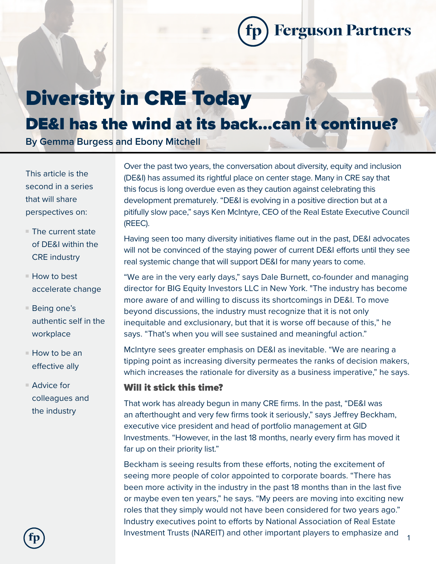**Ferguson Partners** 

# Diversity in CRE Today

# DE&I has the wind at its back…can it continue?

**By Gemma Burgess and Ebony Mitchell**

This article is the second in a series that will share perspectives on:

- $\blacksquare$  The current state of DE&I within the CRE industry
- $\blacksquare$  How to best accelerate change
- $\blacksquare$  Being one's authentic self in the workplace
- $\blacksquare$  How to be an effective ally
- $\blacksquare$  Advice for colleagues and the industry

Over the past two years, the conversation about diversity, equity and inclusion (DE&I) has assumed its rightful place on center stage. Many in CRE say that this focus is long overdue even as they caution against celebrating this development prematurely. "DE&I is evolving in a positive direction but at a pitifully slow pace," says Ken McIntyre, CEO of the Real Estate Executive Council (REEC).

Having seen too many diversity initiatives flame out in the past, DE&I advocates will not be convinced of the staying power of current DE&I efforts until they see real systemic change that will support DE&I for many years to come.

"We are in the very early days," says Dale Burnett, co-founder and managing director for BIG Equity Investors LLC in New York. "The industry has become more aware of and willing to discuss its shortcomings in DE&I. To move beyond discussions, the industry must recognize that it is not only inequitable and exclusionary, but that it is worse off because of this," he says. "That's when you will see sustained and meaningful action."

McIntyre sees greater emphasis on DE&I as inevitable. "We are nearing a tipping point as increasing diversity permeates the ranks of decision makers, which increases the rationale for diversity as a business imperative," he says.

#### Will it stick this time?

That work has already begun in many CRE firms. In the past, "DE&I was an afterthought and very few firms took it seriously," says Jeffrey Beckham, executive vice president and head of portfolio management at GID Investments. "However, in the last 18 months, nearly every firm has moved it far up on their priority list."

Beckham is seeing results from these efforts, noting the excitement of seeing more people of color appointed to corporate boards. "There has been more activity in the industry in the past 18 months than in the last five or maybe even ten years," he says. "My peers are moving into exciting new roles that they simply would not have been considered for two years ago." Industry executives point to efforts by National Association of Real Estate Investment Trusts (NAREIT) and other important players to emphasize and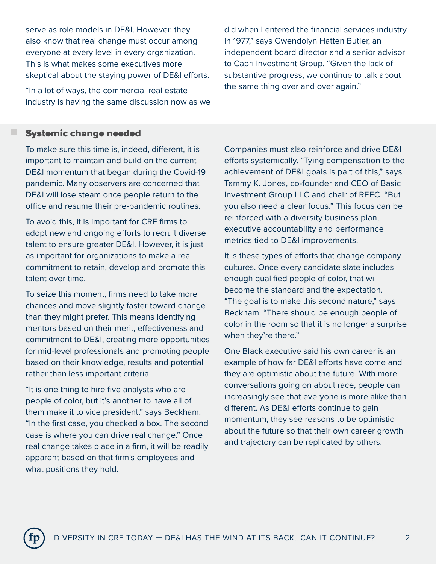serve as role models in DE&I. However, they also know that real change must occur among everyone at every level in every organization. This is what makes some executives more skeptical about the staying power of DE&I efforts.

"In a lot of ways, the commercial real estate industry is having the same discussion now as we did when I entered the financial services industry in 1977," says Gwendolyn Hatten Butler, an independent board director and a senior advisor to Capri Investment Group. "Given the lack of substantive progress, we continue to talk about the same thing over and over again."

#### Systemic change needed

n

To make sure this time is, indeed, different, it is important to maintain and build on the current DE&I momentum that began during the Covid-19 pandemic. Many observers are concerned that DE&I will lose steam once people return to the office and resume their pre-pandemic routines.

To avoid this, it is important for CRE firms to adopt new and ongoing efforts to recruit diverse talent to ensure greater DE&I. However, it is just as important for organizations to make a real commitment to retain, develop and promote this talent over time.

To seize this moment, firms need to take more chances and move slightly faster toward change than they might prefer. This means identifying mentors based on their merit, effectiveness and commitment to DE&I, creating more opportunities for mid-level professionals and promoting people based on their knowledge, results and potential rather than less important criteria.

"It is one thing to hire five analysts who are people of color, but it's another to have all of them make it to vice president," says Beckham. "In the first case, you checked a box. The second case is where you can drive real change." Once real change takes place in a firm, it will be readily apparent based on that firm's employees and what positions they hold.

Companies must also reinforce and drive DE&I efforts systemically. "Tying compensation to the achievement of DE&I goals is part of this," says Tammy K. Jones, co-founder and CEO of Basic Investment Group LLC and chair of REEC. "But you also need a clear focus." This focus can be reinforced with a diversity business plan, executive accountability and performance metrics tied to DE&I improvements.

It is these types of efforts that change company cultures. Once every candidate slate includes enough qualified people of color, that will become the standard and the expectation. "The goal is to make this second nature," says Beckham. "There should be enough people of color in the room so that it is no longer a surprise when they're there."

One Black executive said his own career is an example of how far DE&I efforts have come and they are optimistic about the future. With more conversations going on about race, people can increasingly see that everyone is more alike than different. As DE&I efforts continue to gain momentum, they see reasons to be optimistic about the future so that their own career growth and trajectory can be replicated by others.